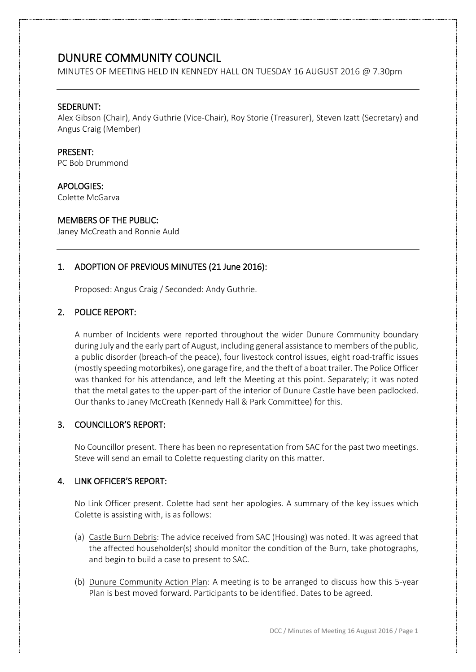# DUNURE COMMUNITY COUNCIL

MINUTES OF MEETING HELD IN KENNEDY HALL ON TUESDAY 16 AUGUST 2016 @ 7.30pm

### SEDERUNT:

Alex Gibson (Chair), Andy Guthrie (Vice-Chair), Roy Storie (Treasurer), Steven Izatt (Secretary) and Angus Craig (Member)

#### PRESENT:

PC Bob Drummond

#### APOLOGIES:

Colette McGarva

### MEMBERS OF THE PUBLIC:

Janey McCreath and Ronnie Auld

## 1. ADOPTION OF PREVIOUS MINUTES (21 June 2016):

Proposed: Angus Craig / Seconded: Andy Guthrie.

### 2. POLICE REPORT:

A number of Incidents were reported throughout the wider Dunure Community boundary during July and the early part of August, including general assistance to members of the public, a public disorder (breach-of the peace), four livestock control issues, eight road-traffic issues (mostly speeding motorbikes), one garage fire, and the theft of a boat trailer. The Police Officer was thanked for his attendance, and left the Meeting at this point. Separately; it was noted that the metal gates to the upper-part of the interior of Dunure Castle have been padlocked. Our thanks to Janey McCreath (Kennedy Hall & Park Committee) for this.

## 3. COUNCILLOR'S REPORT:

No Councillor present. There has been no representation from SAC for the past two meetings. Steve will send an email to Colette requesting clarity on this matter.

## 4. LINK OFFICER'S REPORT:

No Link Officer present. Colette had sent her apologies. A summary of the key issues which Colette is assisting with, is as follows:

- (a) Castle Burn Debris: The advice received from SAC (Housing) was noted. It was agreed that the affected householder(s) should monitor the condition of the Burn, take photographs, and begin to build a case to present to SAC.
- (b) Dunure Community Action Plan: A meeting is to be arranged to discuss how this 5-year Plan is best moved forward. Participants to be identified. Dates to be agreed.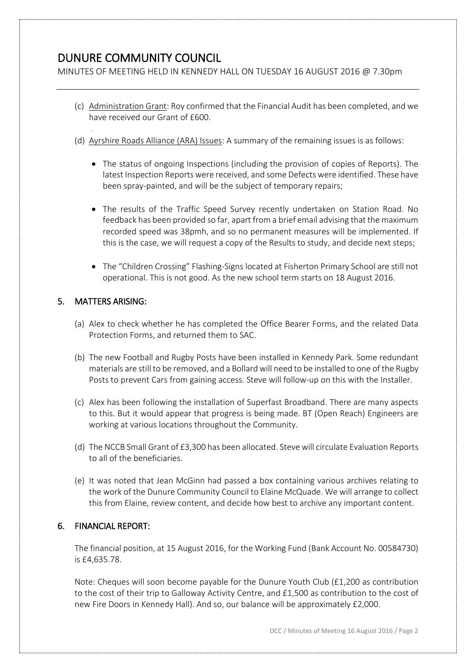# DUNURE COMMUNITY COUNCIL

MINUTES OF MEETING HELD IN KENNEDY HALL ON TUESDAY 16 AUGUST 2016 @ 7.30pm

- (c) Administration Grant: Roy confirmed that the Financial Audit has been completed, and we have received our Grant of £600.
- (d) Ayrshire Roads Alliance (ARA) Issues: A summary of the remaining issues is as follows:
	- The status of ongoing Inspections (including the provision of copies of Reports). The latest Inspection Reports were received, and some Defects were identified. These have been spray-painted, and will be the subject of temporary repairs;
	- The results of the Traffic Speed Survey recently undertaken on Station Road. No feedback has been provided so far, apart from a brief email advising that the maximum recorded speed was 38pmh, and so no permanent measures will be implemented. If this is the case, we will request a copy of the Results to study, and decide next steps;
	- The "Children Crossing" Flashing-Signs located at Fisherton Primary School are still not operational. This is not good. As the new school term starts on 18 August 2016.

## 5. MATTERS ARISING:

- (a) Alex to check whether he has completed the Office Bearer Forms, and the related Data Protection Forms, and returned them to SAC.
- (b) The new Football and Rugby Posts have been installed in Kennedy Park. Some redundant materials are still to be removed, and a Bollard will need to be installed to one of the Rugby Posts to prevent Cars from gaining access. Steve will follow-up on this with the Installer.
- (c) Alex has been following the installation of Superfast Broadband. There are many aspects to this. But it would appear that progress is being made. BT (Open Reach) Engineers are working at various locations throughout the Community.
- (d) The NCCB Small Grant of £3,300 has been allocated. Steve will circulate Evaluation Reports to all of the beneficiaries.
- (e) It was noted that Jean McGinn had passed a box containing various archives relating to the work of the Dunure Community Council to Elaine McQuade. We will arrange to collect this from Elaine, review content, and decide how best to archive any important content.

# 6. FINANCIAL REPORT:

The financial position, at 15 August 2016, for the Working Fund (Bank Account No. 00584730) is £4,635.78.

Note: Cheques will soon become payable for the Dunure Youth Club (£1,200 as contribution to the cost of their trip to Galloway Activity Centre, and £1,500 as contribution to the cost of new Fire Doors in Kennedy Hall). And so, our balance will be approximately £2,000.